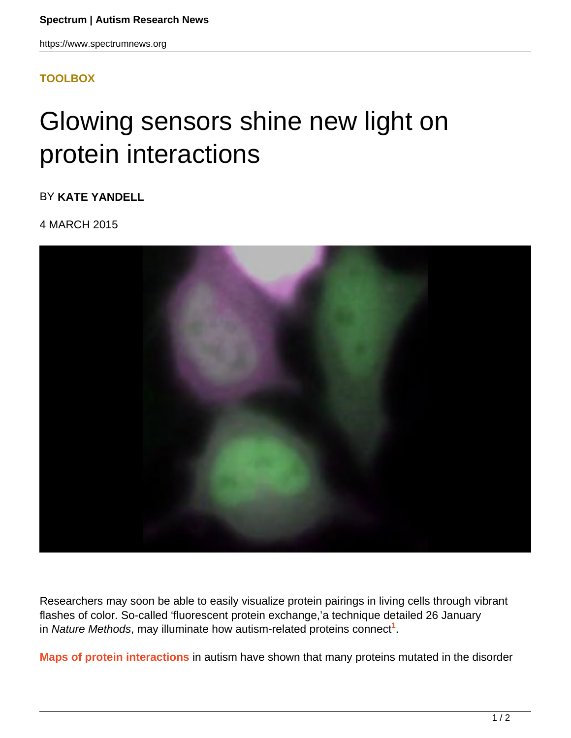https://www.spectrumnews.org

## **[TOOLBOX](HTTPS://WWW.SPECTRUMNEWS.ORG/NEWS/TOOLBOX/)**

## Glowing sensors shine new light on protein interactions

BY **KATE YANDELL**

4 MARCH 2015



Researchers may soon be able to easily visualize protein pairings in living cells through vibrant flashes of color. So-called 'fluorescent protein exchange,'a technique detailed 26 January in Nature Methods, may illuminate how autism-related proteins connect**<sup>1</sup>** .

**Maps of protein interactions** in autism have shown that many proteins mutated in the disorder